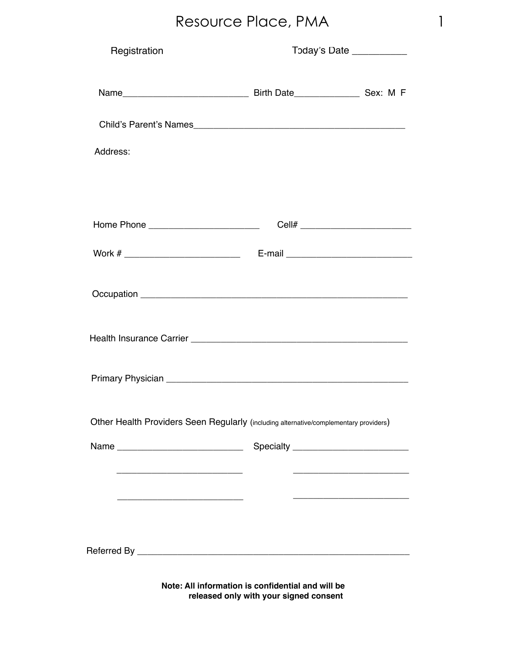| Registration                                                                          | Today's Date _                                    |                                   |
|---------------------------------------------------------------------------------------|---------------------------------------------------|-----------------------------------|
| Name_                                                                                 | Birth Date                                        | $\overline{\phantom{a}}$ Sex: M F |
| Child's Parent's Names_                                                               |                                                   |                                   |
| Address:                                                                              |                                                   |                                   |
|                                                                                       |                                                   |                                   |
| Home Phone                                                                            | Cell# $_{-}$                                      |                                   |
| Work $#$ $\rule{1em}{0.15mm}$                                                         | $E$ -mail $_{-}$                                  |                                   |
| Occupation _                                                                          |                                                   |                                   |
| Health Insurance Carrier                                                              |                                                   |                                   |
|                                                                                       |                                                   |                                   |
| Primary Physician                                                                     |                                                   |                                   |
| Other Health Providers Seen Regularly (including alternative/complementary providers) |                                                   |                                   |
| Name                                                                                  | Specialty _                                       |                                   |
| ____________                                                                          |                                                   |                                   |
|                                                                                       |                                                   |                                   |
| Referred By                                                                           |                                                   |                                   |
|                                                                                       | Note: All information is confidential and will be |                                   |

**released only with your signed consent**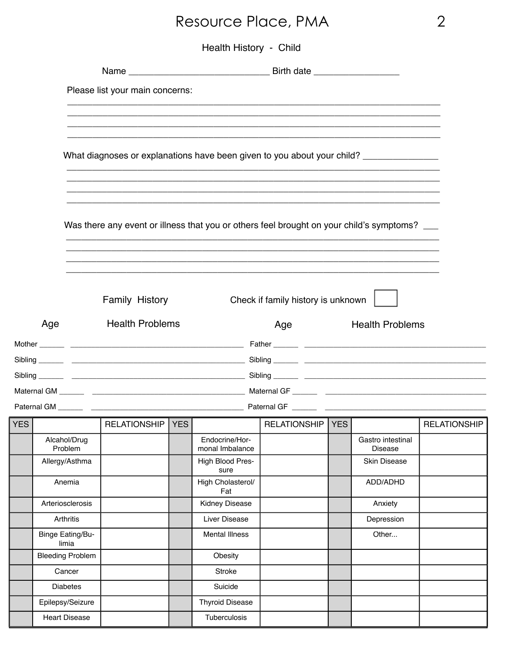| <b>Health History</b> | Child |
|-----------------------|-------|
|-----------------------|-------|

|     |     |                                  | Please list your main concerns:                                                          |                          |                                                                                                                       |                                     |              |
|-----|-----|----------------------------------|------------------------------------------------------------------------------------------|--------------------------|-----------------------------------------------------------------------------------------------------------------------|-------------------------------------|--------------|
|     |     |                                  |                                                                                          |                          |                                                                                                                       |                                     |              |
|     |     |                                  |                                                                                          |                          |                                                                                                                       |                                     |              |
|     |     |                                  | What diagnoses or explanations have been given to you about your child? _______________  |                          |                                                                                                                       |                                     |              |
|     |     |                                  |                                                                                          |                          |                                                                                                                       |                                     |              |
|     |     |                                  |                                                                                          |                          |                                                                                                                       |                                     |              |
|     |     |                                  | Was there any event or illness that you or others feel brought on your child's symptoms? |                          |                                                                                                                       |                                     |              |
|     |     |                                  |                                                                                          |                          | <u> 1989 - Johann Harry Harry Harry Harry Harry Harry Harry Harry Harry Harry Harry Harry Harry Harry Harry Harry</u> |                                     |              |
|     |     |                                  |                                                                                          |                          |                                                                                                                       |                                     |              |
|     |     |                                  | Family History                                                                           |                          | Check if family history is unknown                                                                                    |                                     |              |
|     |     |                                  |                                                                                          |                          |                                                                                                                       |                                     |              |
|     | Age |                                  | <b>Health Problems</b>                                                                   |                          | Age                                                                                                                   | <b>Health Problems</b>              |              |
|     |     |                                  |                                                                                          |                          |                                                                                                                       |                                     |              |
|     |     |                                  |                                                                                          |                          |                                                                                                                       |                                     |              |
|     |     |                                  |                                                                                          |                          |                                                                                                                       |                                     |              |
|     |     |                                  |                                                                                          |                          |                                                                                                                       |                                     |              |
|     |     |                                  | RELATIONSHIP YES                                                                         |                          | RELATIONSHIP YES                                                                                                      |                                     |              |
| YES |     |                                  |                                                                                          | Endocrine/Hor-           |                                                                                                                       |                                     | RELATIONSHIP |
|     |     | Alcahol/Drug<br>Problem          |                                                                                          | monal Imbalance          |                                                                                                                       | Gastro intestinal<br><b>Disease</b> |              |
|     |     | Allergy/Asthma                   |                                                                                          | High Blood Pres-<br>sure |                                                                                                                       | Skin Disease                        |              |
|     |     | Anemia                           |                                                                                          | High Cholasterol/<br>Fat |                                                                                                                       | ADD/ADHD                            |              |
|     |     | Arteriosclerosis                 |                                                                                          | Kidney Disease           |                                                                                                                       | Anxiety                             |              |
|     |     | Arthritis                        |                                                                                          | Liver Disease            |                                                                                                                       | Depression                          |              |
|     |     | <b>Binge Eating/Bu-</b><br>limia |                                                                                          | <b>Mental Illness</b>    |                                                                                                                       | Other                               |              |
|     |     | <b>Bleeding Problem</b>          |                                                                                          | Obesity                  |                                                                                                                       |                                     |              |
|     |     | Cancer                           |                                                                                          | Stroke                   |                                                                                                                       |                                     |              |
|     |     | <b>Diabetes</b>                  |                                                                                          | Suicide                  |                                                                                                                       |                                     |              |
|     |     | Epilepsy/Seizure                 |                                                                                          | <b>Thyroid Disease</b>   |                                                                                                                       |                                     |              |
|     |     | <b>Heart Disease</b>             |                                                                                          | Tuberculosis             |                                                                                                                       |                                     |              |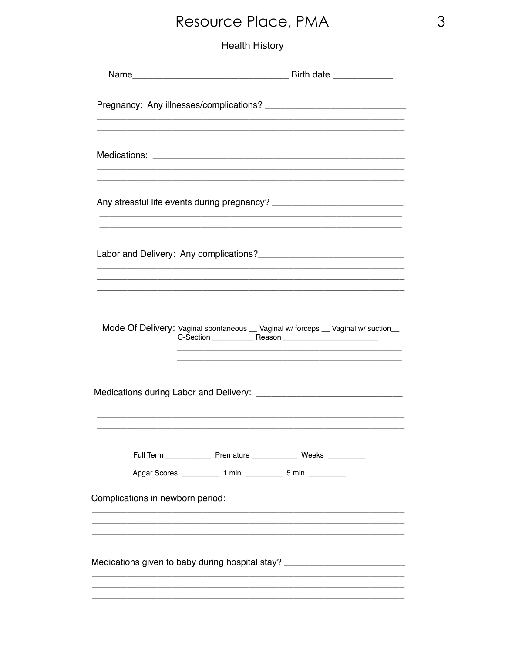|                                                                                                                                          | Mode Of Delivery: Vaginal spontaneous __ Vaginal w/ forceps __ Vaginal w/ suction__                                                                                                                                                                                       |  |  |  |  |  |  |
|------------------------------------------------------------------------------------------------------------------------------------------|---------------------------------------------------------------------------------------------------------------------------------------------------------------------------------------------------------------------------------------------------------------------------|--|--|--|--|--|--|
|                                                                                                                                          |                                                                                                                                                                                                                                                                           |  |  |  |  |  |  |
|                                                                                                                                          | Full Term ________________ Premature ________________ Weeks ___________<br>Apgar Scores ______________ 1 min. ______________ 5 min. _____________<br><u> 1989 - Johann Barn, amerikan bernama di sebagai bernama dalam bernama dalam bernama dalam bernama dalam bern</u> |  |  |  |  |  |  |
| <u> 1989 - Jan Barnett, fransk politik (d. 1989)</u><br>Medications given to baby during hospital stay? ________________________________ |                                                                                                                                                                                                                                                                           |  |  |  |  |  |  |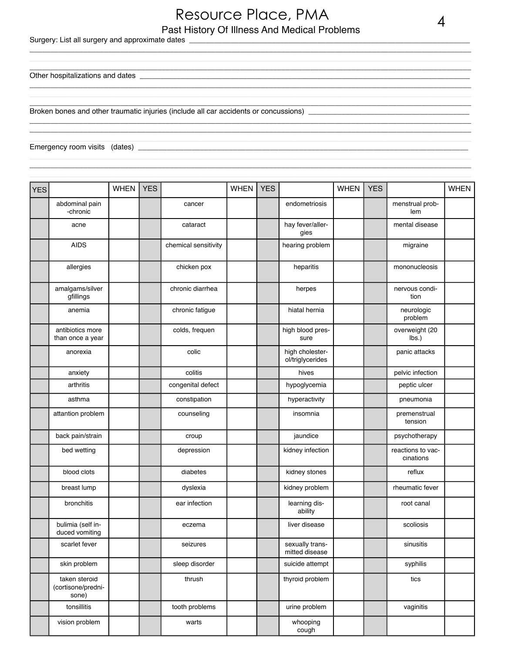#### Past History Of Illness And Medical Problems Resource Place, PMA 4

\_\_\_\_\_\_\_\_\_\_\_\_\_\_\_\_\_\_\_\_\_\_\_\_\_\_\_\_\_\_\_\_\_\_\_\_\_\_\_\_\_\_\_\_\_\_\_\_\_\_\_\_\_\_\_\_\_\_\_\_\_\_\_\_\_\_\_\_\_\_\_\_\_\_\_\_\_\_\_\_\_\_\_\_\_\_\_\_\_\_\_\_\_\_\_\_\_\_\_\_\_\_\_\_\_\_\_ \_\_\_\_\_\_\_\_\_\_\_\_\_\_\_\_\_\_\_\_\_\_\_\_\_\_\_\_\_\_\_\_\_\_\_\_\_\_\_\_\_\_\_\_\_\_\_\_\_\_\_\_\_\_\_\_\_\_\_\_\_\_\_\_\_\_\_\_\_\_\_\_\_\_\_\_\_\_\_\_\_\_\_\_\_\_\_\_\_\_\_\_\_\_\_\_\_\_\_\_\_\_\_\_\_\_\_ \_\_\_\_\_\_\_\_\_\_\_\_\_\_\_\_\_\_\_\_\_\_\_\_\_\_\_\_\_\_\_\_\_\_\_\_\_\_\_\_\_\_\_\_\_\_\_\_\_\_\_\_\_\_\_\_\_\_\_\_\_\_\_\_\_\_\_\_\_\_\_\_\_\_\_\_\_\_\_\_\_\_\_\_\_\_\_\_\_\_\_\_\_\_\_\_\_\_\_\_\_\_\_\_\_\_\_

\_\_\_\_\_\_\_\_\_\_\_\_\_\_\_\_\_\_\_\_\_\_\_\_\_\_\_\_\_\_\_\_\_\_\_\_\_\_\_\_\_\_\_\_\_\_\_\_\_\_\_\_\_\_\_\_\_\_\_\_\_\_\_\_\_\_\_\_\_\_\_\_\_\_\_\_\_\_\_\_\_\_\_\_\_\_\_\_\_\_\_\_\_\_\_\_\_\_\_\_\_\_\_\_\_\_\_ \_\_\_\_\_\_\_\_\_\_\_\_\_\_\_\_\_\_\_\_\_\_\_\_\_\_\_\_\_\_\_\_\_\_\_\_\_\_\_\_\_\_\_\_\_\_\_\_\_\_\_\_\_\_\_\_\_\_\_\_\_\_\_\_\_\_\_\_\_\_\_\_\_\_\_\_\_\_\_\_\_\_\_\_\_\_\_\_\_\_\_\_\_\_\_\_\_\_\_\_\_\_\_\_\_\_\_ \_\_\_\_\_\_\_\_\_\_\_\_\_\_\_\_\_\_\_\_\_\_\_\_\_\_\_\_\_\_\_\_\_\_\_\_\_\_\_\_\_\_\_\_\_\_\_\_\_\_\_\_\_\_\_\_\_\_\_\_\_\_\_\_\_\_\_\_\_\_\_\_\_\_\_\_\_\_\_\_\_\_\_\_\_\_\_\_\_\_\_\_\_\_\_\_\_\_\_\_\_\_\_\_\_\_\_

 $\mathcal{L}_\mathcal{L} = \{ \mathcal{L}_\mathcal{L} = \{ \mathcal{L}_\mathcal{L} = \{ \mathcal{L}_\mathcal{L} = \{ \mathcal{L}_\mathcal{L} = \{ \mathcal{L}_\mathcal{L} = \{ \mathcal{L}_\mathcal{L} = \{ \mathcal{L}_\mathcal{L} = \{ \mathcal{L}_\mathcal{L} = \{ \mathcal{L}_\mathcal{L} = \{ \mathcal{L}_\mathcal{L} = \{ \mathcal{L}_\mathcal{L} = \{ \mathcal{L}_\mathcal{L} = \{ \mathcal{L}_\mathcal{L} = \{ \mathcal{L}_\mathcal{$ \_\_\_\_\_\_\_\_\_\_\_\_\_\_\_\_\_\_\_\_\_\_\_\_\_\_\_\_\_\_\_\_\_\_\_\_\_\_\_\_\_\_\_\_\_\_\_\_\_\_\_\_\_\_\_\_\_\_\_\_\_\_\_\_\_\_\_\_\_\_\_\_\_\_\_\_\_\_\_\_\_\_\_\_\_\_\_\_\_\_\_\_\_\_\_\_\_\_\_\_\_\_\_\_\_\_\_ \_\_\_\_\_\_\_\_\_\_\_\_\_\_\_\_\_\_\_\_\_\_\_\_\_\_\_\_\_\_\_\_\_\_\_\_\_\_\_\_\_\_\_\_\_\_\_\_\_\_\_\_\_\_\_\_\_\_\_\_\_\_\_\_\_\_\_\_\_\_\_\_\_\_\_\_\_\_\_\_\_\_\_\_\_\_\_\_\_\_\_\_\_\_\_\_\_\_\_\_\_\_\_\_\_\_\_

 $\mathcal{L}_\mathcal{L} = \{ \mathcal{L}_\mathcal{L} = \{ \mathcal{L}_\mathcal{L} = \{ \mathcal{L}_\mathcal{L} = \{ \mathcal{L}_\mathcal{L} = \{ \mathcal{L}_\mathcal{L} = \{ \mathcal{L}_\mathcal{L} = \{ \mathcal{L}_\mathcal{L} = \{ \mathcal{L}_\mathcal{L} = \{ \mathcal{L}_\mathcal{L} = \{ \mathcal{L}_\mathcal{L} = \{ \mathcal{L}_\mathcal{L} = \{ \mathcal{L}_\mathcal{L} = \{ \mathcal{L}_\mathcal{L} = \{ \mathcal{L}_\mathcal{$  $\mathcal{L}_\mathcal{L} = \{ \mathcal{L}_\mathcal{L} = \{ \mathcal{L}_\mathcal{L} = \{ \mathcal{L}_\mathcal{L} = \{ \mathcal{L}_\mathcal{L} = \{ \mathcal{L}_\mathcal{L} = \{ \mathcal{L}_\mathcal{L} = \{ \mathcal{L}_\mathcal{L} = \{ \mathcal{L}_\mathcal{L} = \{ \mathcal{L}_\mathcal{L} = \{ \mathcal{L}_\mathcal{L} = \{ \mathcal{L}_\mathcal{L} = \{ \mathcal{L}_\mathcal{L} = \{ \mathcal{L}_\mathcal{L} = \{ \mathcal{L}_\mathcal{$ 

#### Surgery: List all surgery and approximate dates \_\_\_\_\_\_\_\_\_\_\_\_\_\_\_\_\_\_\_\_\_\_\_\_\_\_\_\_\_\_\_\_

Other hospitalizations and dates

Broken bones and other traumatic injuries (include all car accidents or concussions) \_

Emergency room visits (dates) \_\_\_\_\_\_\_\_\_\_\_\_\_\_\_\_\_\_\_\_\_\_\_\_\_\_\_\_\_\_\_\_\_\_\_\_\_\_\_\_\_\_\_\_\_\_\_\_\_\_\_\_\_\_\_\_\_\_\_\_\_\_\_\_\_\_\_\_\_\_\_\_\_\_\_\_\_\_\_\_

| <b>YES</b> |                                              | <b>WHEN</b> | <b>YES</b> |                      | <b>WHEN</b> | <b>YES</b> |                                     | <b>WHEN</b> | <b>YES</b> |                                   | <b>WHEN</b> |
|------------|----------------------------------------------|-------------|------------|----------------------|-------------|------------|-------------------------------------|-------------|------------|-----------------------------------|-------------|
|            | abdominal pain<br>-chronic                   |             |            | cancer               |             |            | endometriosis                       |             |            | menstrual prob-<br>lem            |             |
|            | acne                                         |             |            | cataract             |             |            | hay fever/aller-<br>gies            |             |            | mental disease                    |             |
|            | <b>AIDS</b>                                  |             |            | chemical sensitivity |             |            | hearing problem                     |             |            | migraine                          |             |
|            | allergies                                    |             |            | chicken pox          |             |            | heparitis                           |             |            | mononucleosis                     |             |
|            | amalgams/silver<br>gfillings                 |             |            | chronic diarrhea     |             |            | herpes                              |             |            | nervous condi-<br>tion            |             |
|            | anemia                                       |             |            | chronic fatigue      |             |            | hiatal hernia                       |             |            | neurologic<br>problem             |             |
|            | antibiotics more<br>than once a year         |             |            | colds, frequen       |             |            | high blood pres-<br>sure            |             |            | overweight (20<br>$\mathsf{lbs.}$ |             |
|            | anorexia                                     |             |            | colic                |             |            | high cholester-<br>ol/triglycerides |             |            | panic attacks                     |             |
|            | anxiety                                      |             |            | colitis              |             |            | hives                               |             |            | pelvic infection                  |             |
|            | arthritis                                    |             |            | congenital defect    |             |            | hypoglycemia                        |             |            | peptic ulcer                      |             |
|            | asthma                                       |             |            | constipation         |             |            | hyperactivity                       |             |            | pneumonia                         |             |
|            | attantion problem                            |             |            | counseling           |             |            | insomnia                            |             |            | premenstrual<br>tension           |             |
|            | back pain/strain                             |             |            | croup                |             |            | jaundice                            |             |            | psychotherapy                     |             |
|            | bed wetting                                  |             |            | depression           |             |            | kidney infection                    |             |            | reactions to vac-<br>cinations    |             |
|            | blood clots                                  |             |            | diabetes             |             |            | kidney stones                       |             |            | reflux                            |             |
|            | breast lump                                  |             |            | dyslexia             |             |            | kidney problem                      |             |            | rheumatic fever                   |             |
|            | bronchitis                                   |             |            | ear infection        |             |            | learning dis-<br>ability            |             |            | root canal                        |             |
|            | bulimia (self in-<br>duced vomiting          |             |            | eczema               |             |            | liver disease                       |             |            | scoliosis                         |             |
|            | scarlet fever                                |             |            | seizures             |             |            | sexually trans-<br>mitted disease   |             |            | sinusitis                         |             |
|            | skin problem                                 |             |            | sleep disorder       |             |            | suicide attempt                     |             |            | syphilis                          |             |
|            | taken steroid<br>(cortisone/predni-<br>sone) |             |            | thrush               |             |            | thyroid problem                     |             |            | tics                              |             |
|            | tonsillitis                                  |             |            | tooth problems       |             |            | urine problem                       |             |            | vaginitis                         |             |
|            | vision problem                               |             |            | warts                |             |            | whooping<br>cough                   |             |            |                                   |             |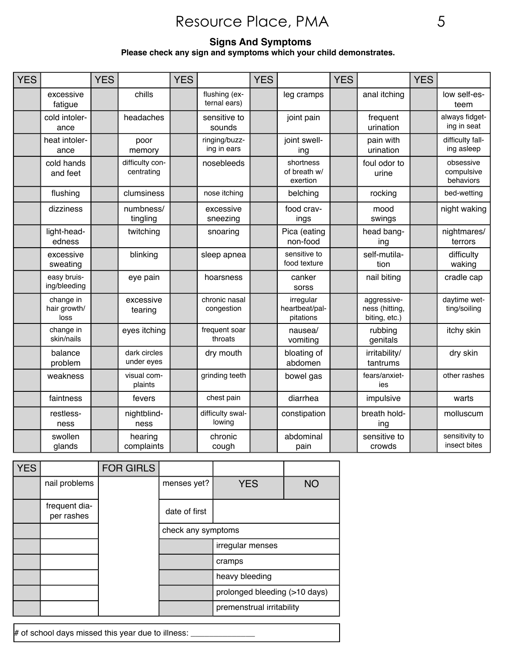#### **Signs And Symptoms Please check any sign and symptoms which your child demonstrates.**

| <b>YES</b> |                                   | <b>YES</b> |                               | <b>YES</b> |                               | <b>YES</b> |                                          | <b>YES</b> |                                                | <b>YES</b> |                                      |
|------------|-----------------------------------|------------|-------------------------------|------------|-------------------------------|------------|------------------------------------------|------------|------------------------------------------------|------------|--------------------------------------|
|            | excessive<br>fatigue              |            | chills                        |            | flushing (ex-<br>ternal ears) |            | leg cramps                               |            | anal itching                                   |            | low self-es-<br>teem                 |
|            | cold intoler-<br>ance             |            | headaches                     |            | sensitive to<br>sounds        |            | joint pain                               |            | frequent<br>urination                          |            | always fidget-<br>ing in seat        |
|            | heat intoler-<br>ance             |            | poor<br>memory                |            | ringing/buzz-<br>ing in ears  |            | joint swell-<br>ing                      |            | pain with<br>urination                         |            | difficulty fall-<br>ing asleep       |
|            | cold hands<br>and feet            |            | difficulty con-<br>centrating |            | nosebleeds                    |            | shortness<br>of breath w/<br>exertion    |            | foul odor to<br>urine                          |            | obsessive<br>compulsive<br>behaviors |
|            | flushing                          |            | clumsiness                    |            | nose itching                  |            | belching                                 |            | rocking                                        |            | bed-wetting                          |
|            | dizziness                         |            | numbness/<br>tingling         |            | excessive<br>sneezing         |            | food crav-<br>ings                       |            | mood<br>swings                                 |            | night waking                         |
|            | light-head-<br>edness             |            | twitching                     |            | snoaring                      |            | Pica (eating<br>non-food                 |            | head bang-<br>ing                              |            | nightmares/<br>terrors               |
|            | excessive<br>sweating             |            | blinking                      |            | sleep apnea                   |            | sensitive to<br>food texture             |            | self-mutila-<br>tion                           |            | difficulty<br>waking                 |
|            | easy bruis-<br>ing/bleeding       |            | eye pain                      |            | hoarsness                     |            | canker<br>sorss                          |            | nail biting                                    |            | cradle cap                           |
|            | change in<br>hair growth/<br>loss |            | excessive<br>tearing          |            | chronic nasal<br>congestion   |            | irregular<br>heartbeat/pal-<br>pitations |            | aggressive-<br>ness (hitting,<br>biting, etc.) |            | daytime wet-<br>ting/soiling         |
|            | change in<br>skin/nails           |            | eyes itching                  |            | frequent soar<br>throats      |            | nausea/<br>vomiting                      |            | rubbing<br>genitals                            |            | itchy skin                           |
|            | balance<br>problem                |            | dark circles<br>under eyes    |            | dry mouth                     |            | bloating of<br>abdomen                   |            | irritability/<br>tantrums                      |            | dry skin                             |
|            | weakness                          |            | visual com-<br>plaints        |            | grinding teeth                |            | bowel gas                                |            | fears/anxiet-<br>ies                           |            | other rashes                         |
|            | faintness                         |            | fevers                        |            | chest pain                    |            | diarrhea                                 |            | impulsive                                      |            | warts                                |
|            | restless-<br>ness                 |            | nightblind-<br>ness           |            | difficulty swal-<br>lowing    |            | constipation                             |            | breath hold-<br>ing                            |            | molluscum                            |
|            | swollen<br>glands                 |            | hearing<br>complaints         |            | chronic<br>cough              |            | abdominal<br>pain                        |            | sensitive to<br>crowds                         |            | sensitivity to<br>insect bites       |

| <b>YES</b> |                             | <b>FOR GIRLS</b> |                    |                               |           |  |  |  |
|------------|-----------------------------|------------------|--------------------|-------------------------------|-----------|--|--|--|
|            | nail problems               |                  | menses yet?        | <b>YES</b>                    | <b>NO</b> |  |  |  |
|            | frequent dia-<br>per rashes |                  | date of first      |                               |           |  |  |  |
|            |                             |                  | check any symptoms |                               |           |  |  |  |
|            |                             |                  |                    | irregular menses              |           |  |  |  |
|            |                             |                  |                    | cramps                        |           |  |  |  |
|            |                             |                  |                    | heavy bleeding                |           |  |  |  |
|            |                             |                  |                    | prolonged bleeding (>10 days) |           |  |  |  |
|            |                             |                  |                    | premenstrual irritability     |           |  |  |  |

# of school days missed this year due to illness: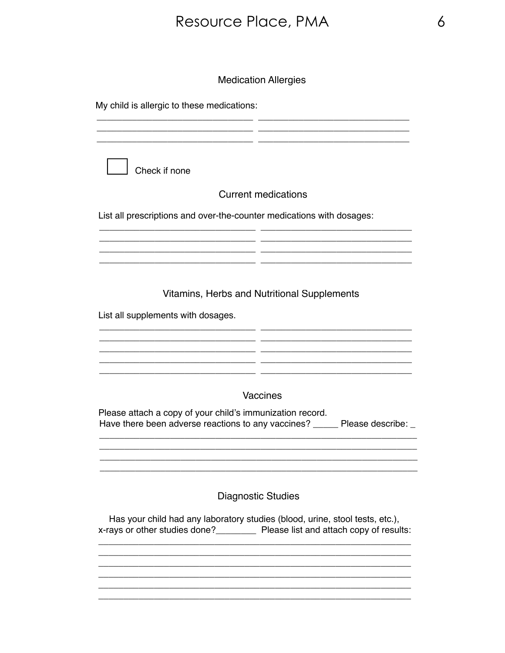#### **Medication Allergies**

| My child is allergic to these medications:                                                                                                                        |                            |
|-------------------------------------------------------------------------------------------------------------------------------------------------------------------|----------------------------|
|                                                                                                                                                                   |                            |
| Check if none                                                                                                                                                     |                            |
|                                                                                                                                                                   | <b>Current medications</b> |
| List all prescriptions and over-the-counter medications with dosages:                                                                                             |                            |
|                                                                                                                                                                   |                            |
| Vitamins, Herbs and Nutritional Supplements                                                                                                                       |                            |
| List all supplements with dosages.                                                                                                                                |                            |
|                                                                                                                                                                   |                            |
|                                                                                                                                                                   |                            |
|                                                                                                                                                                   | Vaccines                   |
| Please attach a copy of your child's immunization record.<br>Have there been adverse reactions to any vaccines? ______ Please describe: _                         |                            |
|                                                                                                                                                                   |                            |
| <b>Diagnostic Studies</b>                                                                                                                                         |                            |
| Has your child had any laboratory studies (blood, urine, stool tests, etc.),<br>x-rays or other studies done?____________ Please list and attach copy of results: |                            |
|                                                                                                                                                                   |                            |
|                                                                                                                                                                   |                            |
|                                                                                                                                                                   |                            |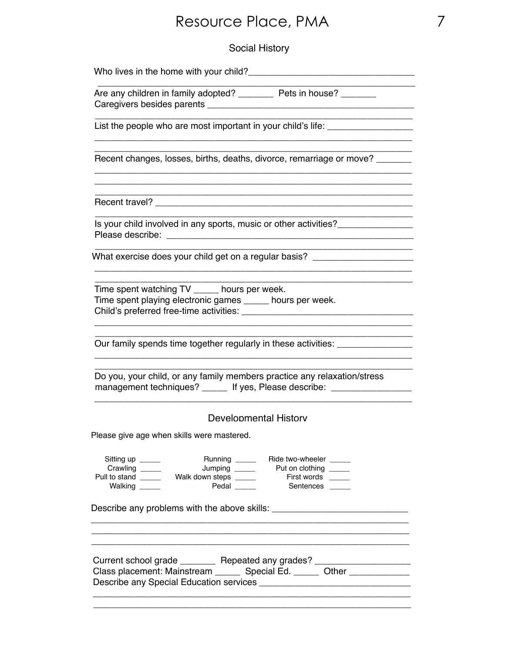Social History

|                                                      | Are any children in family adopted? __________ Pets in house? ________                                                                                                                        |
|------------------------------------------------------|-----------------------------------------------------------------------------------------------------------------------------------------------------------------------------------------------|
|                                                      | List the people who are most important in your child's life: ___________________<br>the control of the control of the control of the control of the control of the control of                 |
|                                                      | Recent changes, losses, births, deaths, divorce, remarriage or move?<br><u> 1989 - Johann Harry Harry Harry Harry Harry Harry Harry Harry Harry Harry Harry Harry Harry Harry Harry Harry</u> |
|                                                      |                                                                                                                                                                                               |
|                                                      | Is your child involved in any sports, music or other activities?                                                                                                                              |
|                                                      | What exercise does your child get on a regular basis? __________________________                                                                                                              |
|                                                      | Time spent watching TV ______ hours per week.<br>Time spent playing electronic games _____ hours per week.                                                                                    |
|                                                      | Our family spends time together regularly in these activities: _________________                                                                                                              |
|                                                      | Do you, your child, or any family members practice any relaxation/stress<br>management techniques? ______ If yes, Please describe: _________________                                          |
|                                                      | Developmental History                                                                                                                                                                         |
|                                                      |                                                                                                                                                                                               |
|                                                      | Please give age when skills were mastered.                                                                                                                                                    |
| Sitting up _____<br>Crawling _____<br>Walking ______ | Running _______ Ride two-wheeler _____<br>Pull to stand ________ Walk down steps ______<br>First words ____<br>Pedal ____<br>Sentences ___                                                    |
|                                                      |                                                                                                                                                                                               |
|                                                      |                                                                                                                                                                                               |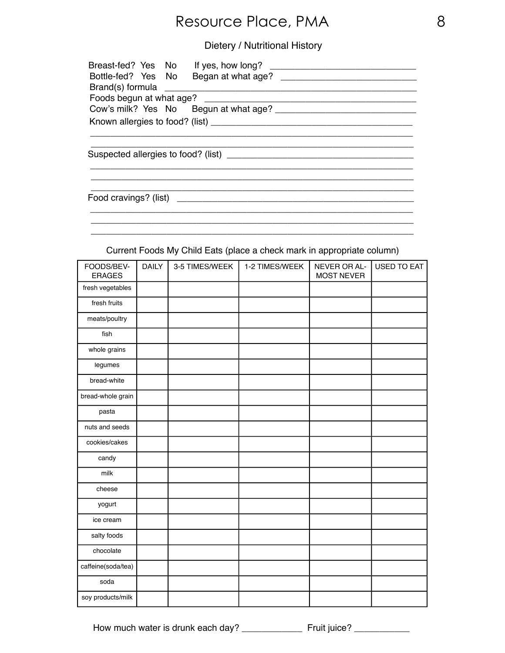#### Dietery / Nutritional History

| Breast-fed? Yes No |  | If yes, how long?     |  |
|--------------------|--|-----------------------|--|
| Bottle-fed? Yes No |  |                       |  |
| Brand(s) formula   |  |                       |  |
|                    |  |                       |  |
|                    |  |                       |  |
|                    |  |                       |  |
|                    |  |                       |  |
|                    |  |                       |  |
|                    |  |                       |  |
|                    |  |                       |  |
|                    |  |                       |  |
|                    |  |                       |  |
|                    |  |                       |  |
|                    |  |                       |  |
|                    |  | Food cravings? (list) |  |
|                    |  |                       |  |

Current Foods My Child Eats (place a check mark in appropriate column)

\_\_\_\_\_\_\_\_\_\_\_\_\_\_\_\_\_\_\_\_\_\_\_\_\_\_\_\_\_\_\_\_\_\_\_\_\_\_\_\_\_\_\_\_\_\_\_\_\_\_\_\_\_\_\_\_\_\_\_\_\_\_\_\_

| FOODS/BEV-<br><b>ERAGES</b> | <b>DAILY</b> | 3-5 TIMES/WEEK | 1-2 TIMES/WEEK | NEVER OR AL-<br><b>MOST NEVER</b> | <b>USED TO EAT</b> |
|-----------------------------|--------------|----------------|----------------|-----------------------------------|--------------------|
| fresh vegetables            |              |                |                |                                   |                    |
| fresh fruits                |              |                |                |                                   |                    |
| meats/poultry               |              |                |                |                                   |                    |
| fish                        |              |                |                |                                   |                    |
| whole grains                |              |                |                |                                   |                    |
| legumes                     |              |                |                |                                   |                    |
| bread-white                 |              |                |                |                                   |                    |
| bread-whole grain           |              |                |                |                                   |                    |
| pasta                       |              |                |                |                                   |                    |
| nuts and seeds              |              |                |                |                                   |                    |
| cookies/cakes               |              |                |                |                                   |                    |
| candy                       |              |                |                |                                   |                    |
| milk                        |              |                |                |                                   |                    |
| cheese                      |              |                |                |                                   |                    |
| yogurt                      |              |                |                |                                   |                    |
| ice cream                   |              |                |                |                                   |                    |
| salty foods                 |              |                |                |                                   |                    |
| chocolate                   |              |                |                |                                   |                    |
| caffeine(soda/tea)          |              |                |                |                                   |                    |
| soda                        |              |                |                |                                   |                    |
| soy products/milk           |              |                |                |                                   |                    |